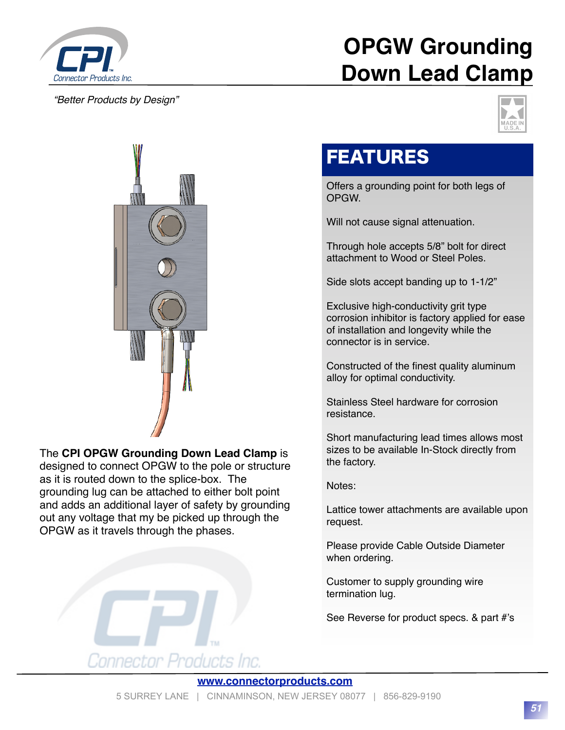

#### *"Better Products by Design"*

# **OPGW Grounding Down Lead Clamp**





### The **CPI OPGW Grounding Down Lead Clamp** is

designed to connect OPGW to the pole or structure as it is routed down to the splice-box. The grounding lug can be attached to either bolt point and adds an additional layer of safety by grounding out any voltage that my be picked up through the OPGW as it travels through the phases.



### FEATURES

Offers a grounding point for both legs of OPGW.

Will not cause signal attenuation.

Through hole accepts 5/8" bolt for direct attachment to Wood or Steel Poles.

Side slots accept banding up to 1-1/2"

Exclusive high-conductivity grit type corrosion inhibitor is factory applied for ease of installation and longevity while the connector is in service.

Constructed of the finest quality aluminum alloy for optimal conductivity.

Stainless Steel hardware for corrosion resistance.

Short manufacturing lead times allows most sizes to be available In-Stock directly from the factory.

Notes:

Lattice tower attachments are available upon request.

Please provide Cable Outside Diameter when ordering.

Customer to supply grounding wire termination lug.

See Reverse for product specs. & part #'s